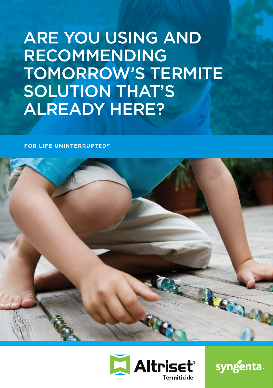# ARE YOU USING AND RECOMMENDING TOMORROW'S TERMITE SOLUTION THAT'S ALREADY HERE?

**FOR LIFE UNINTERRUPTED™** 





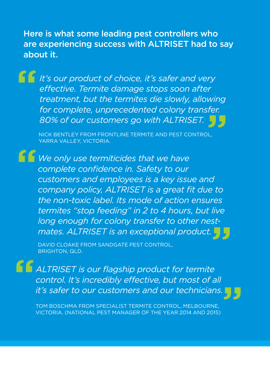Here is what some leading pest controllers who are experiencing success with ALTRISET had to say about it.

**"**

**"** *for complete, unprecedented colony transfer. It's our product of choice, it's safer and very effective. Termite damage stops soon after treatment, but the termites die slowly, allowing 80% of our customers go with ALTRISET.* 

NICK BENTLEY FROM FRONTLINE TERMITE AND PEST CONTROL, YARRA VALLEY, VICTORIA.

*We only use termiticides that we have complete confidence in. Safety to our customers and employees is a key issue and company policy, ALTRISET is a great fit due to the non-toxic label. Its mode of action ensures termites "stop feeding" in 2 to 4 hours, but live long enough for colony transfer to other nest-***"** *mates. ALTRISET is an exceptional product.* **"**

DAVID CLOAKE FROM SANDGATE PEST CONTROL, BRIGHTON, QLD.

ALTRISET is our flagship product for termite control. It's incredibly effective, but most of all **"** it's safer to our customers and our technicians. **"**

TOM BOSCHMA FROM SPECIALIST TERMITE CONTROL, MELBOURNE, VICTORIA. (NATIONAL PEST MANAGER OF THE YEAR 2014 AND 2015)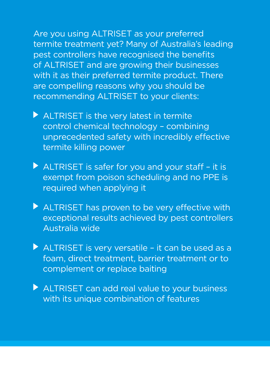Are you using ALTRISET as your preferred termite treatment yet? Many of Australia's leading pest controllers have recognised the benefits of ALTRISET and are growing their businesses with it as their preferred termite product. There are compelling reasons why you should be recommending ALTRISET to your clients:

- ALTRISET is the very latest in termite control chemical technology – combining unprecedented safety with incredibly effective termite killing power
- $\blacktriangleright$  ALTRISET is safer for you and your staff it is exempt from poison scheduling and no PPE is required when applying it
- ALTRISET has proven to be very effective with exceptional results achieved by pest controllers Australia wide
- ALTRISET is very versatile it can be used as a foam, direct treatment, barrier treatment or to complement or replace baiting
- ALTRISET can add real value to your business with its unique combination of features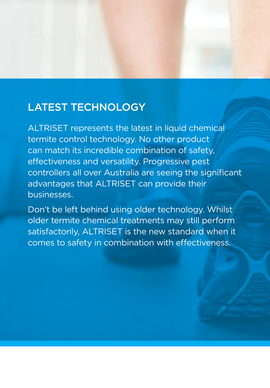### LATEST TECHNOLOGY

ALTRISET represents the latest in liquid chemical termite control technology. No other product can match its incredible combination of safety, effectiveness and versatility. Progressive pest controllers all over Australia are seeing the significant advantages that ALTRISET can provide their businesses.

Don't be left behind using older technology. Whilst older termite chemical treatments may still perform satisfactorily, ALTRISET is the new standard when it comes to safety in combination with effectiveness.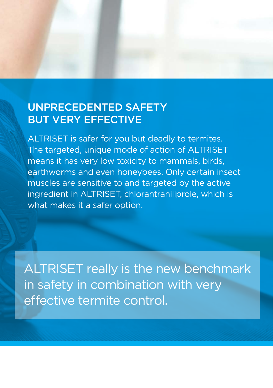### UNPRECEDENTED SAFETY BUT VERY EFFECTIVE

ALTRISET is safer for you but deadly to termites. The targeted, unique mode of action of ALTRISET means it has very low toxicity to mammals, birds, earthworms and even honeybees. Only certain insect muscles are sensitive to and targeted by the active ingredient in ALTRISET, chlorantraniliprole, which is what makes it a safer option.

ALTRISET really is the new benchmark in safety in combination with very effective termite control.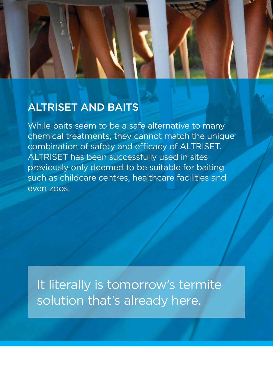### ALTRISET AND BAITS

While baits seem to be a safe alternative to many chemical treatments, they cannot match the unique combination of safety and efficacy of ALTRISET. ALTRISET has been successfully used in sites previously only deemed to be suitable for baiting such as childcare centres, healthcare facilities and even zoos.

It literally is tomorrow's termite solution that's already here.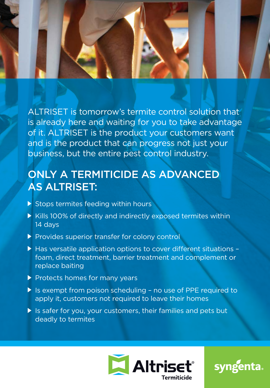ALTRISET is tomorrow's termite control solution that is already here and waiting for you to take advantage of it. ALTRISET is the product your customers want and is the product that can progress not just your business, but the entire pest control industry.

## ONLY A TERMITICIDE AS ADVANCED AS ALTRISET:

- $\triangleright$  Stops termites feeding within hours
- Kills 100% of directly and indirectly exposed termites within 14 days
- Provides superior transfer for colony control
- ▶ Has versatile application options to cover different situations foam, direct treatment, barrier treatment and complement or replace baiting
- Protects homes for many years
- ▶ Is exempt from poison scheduling no use of PPE required to apply it, customers not required to leave their homes
- If is safer for you, your customers, their families and pets but deadly to termites



**syngenta.**